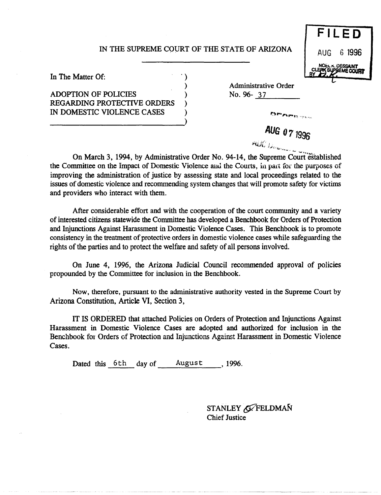## IN THE SUPREME COURT OF THE STATE OF ARIZONA

)

**FILE D**  AUG 6 **1996 DESSAINT** 

In The Matter Of:

ADOPTION OF POLICIES ) REGARDING PROTECTIVE ORDERS IN DOMESTIC VIOLENCE CASES ---------------------------)

Administrative Order No. 96- 37

> **AUG** *077996*  "'UJ.:, ).", '<'-

On March 3, 1994, by Administrative Order No. 94-14, the Supreme Court established the Committee on the Impact of Domestic Violence and the Courts, in part for the purposes of improving the administration of justice by assessing state and local proceedings related to the issues of domestic violence and recommending system changes that will promote safety for victims and providers who interact with them.

After considerable effort and with the cooperation of the court community and a variety of interested citizens statewide the Committee has developed a Benchbook for Orders of Protection and Injunctions Against Harassment in Domestic Violence Cases. This Benchbook is to promote consistency in the treatment of protective orders in domestic violence cases while safeguarding the rights of the parties and to protect the welfare and safety of all persons involved.

On June 4, 1996, the Arizona Judicial Council recommended approval of policies propounded by the Committee for inclusion in the Benchbook.

Now, therefore, pursuant to the administrative authority vested in the Supreme Court by Arizona Constitution, Article VI, Section 3,

**IT** IS ORDERED that attached Policies on Orders of Protection and Injunctions Against Harassment in Domestic Violence Cases are adopted and authorized for inclusion in the Benchbook fot Orders of Protection and Injunctions Against Harassment in Domestic Violence Cases.

Dated this  $6th$  day of August, 1996.

STANLEY G FELDMAN Chief Justice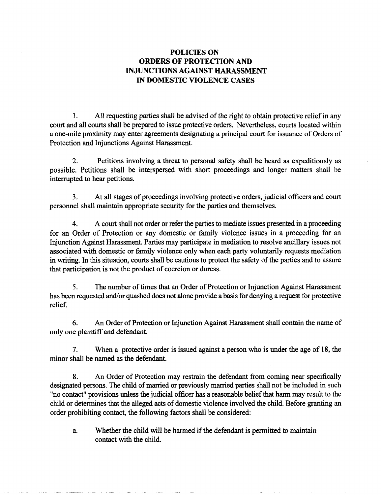## POLICIES ON ORDERS OF PROTECTION AND INJUNCTIONS AGAINST HARASSMENT IN DOMESTIC VIOLENCE CASES

1. All requesting parties shall be advised of the right to obtain protective relief in any court and all courts shall be prepared to issue protective orders. Nevertheless, courts located within a one-mile proximity may enter agreements designating a principal court for issuance of Orders of Protection and Injunctions Against Harassment.

2. Petitions involving a threat to personal safety shall be heard as expeditiously as possible. Petitions shall be interspersed with short proceedings and longer matters shall be interrupted to hear petitions.

3. At all stages of proceedings involving protective orders, judicial officers and court personnel shall maintain appropriate security for the parties and themselves.

4. A court shall not order or refer the parties to mediate issues presented in a proceeding for an Order of Protection or any domestic or family violence issues in a proceeding for an Injunction Against Harassment. Parties may participate in mediation to resolve ancillary issues not associated with domestic or family violence only when each party voluntarily requests mediation in writing. In this situation, courts shall be cautious to protect the safety of the parties and to assure that participation is not the product of coercion or duress.

5. The number of times that an Order of Protection or Injunction Against Harassment has been requested and/or quashed does not alone provide a basis for denying a request for protective relief.

6. An Order of Protection or Injunction Against Harassment shall contain the name of only one plaintiff and defendant.

7. When a protective order is issued against a person who is under the age of 18, the minor shall be named as the defendant.

8. An Order of Protection may restrain the defendant from coming near specifically designated persons. The child of married or previously married parties shall not be included in such "no contact" provisions unless the judicial officer has a reasonable belief that harm may result to the child or determines that the alleged acts of domestic violence involved the child. Before granting an order prohibiting contact, the following factors shall be considered:

a. Whether the child will be harmed if the defendant is permitted to maintain contact with the child.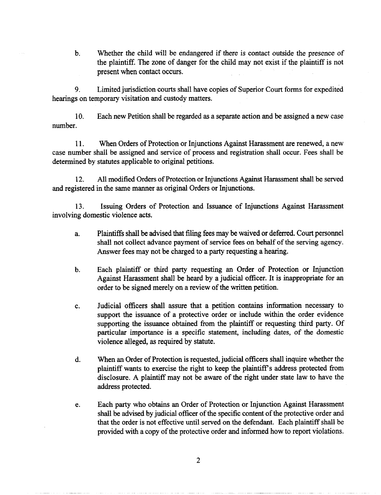b. Whether the child will be endangered if there is contact outside the presence of the plaintiff. The zone of danger for the child may not exist if the plaintiff is not present when contact occurs.

9. Limited jurisdiction courts shall have copies of Superior Court forms for expedited hearings on temporary visitation and custody matters.

10. Each new Petition shall be regarded as a separate action and be assigned a new case number.

11. When Orders of Protection or Injunctions Against Harassment are renewed, a new case number shall be assigned and service of process and registration shall occur. Fees shall be determined by statutes applicable to original petitions.

12. All modified Orders of Protection or Injunctions Against Harassment shall be served and registered in the same manner as original Orders or Injunctions.

13. Issuing Orders of Protection and Issuance of Injunctions Against Harassment involving domestic violence acts.

- a. Plaintiffs shall be advised that filing fees may be waived or deferred. Court personnel shall not collect advance payment of service fees on behalf of the serving agency. Answer fees may not be charged to a party requesting a hearing.
- b. Each plaintiff or third party requesting an Order of Protection or Injunction Against Harassment shall be heard by a judicial officer. It is inappropriate for an order to be signed merely on a review of the written petition.
- c. Judicial officers shall assure that a petition contains information necessary to support the issuance of a protective order or include within the order evidence supporting the issuance obtained from the plaintiff or requesting third party. Of particular importance is a specific statement, including dates, of the domestic violence alleged, as required by statute.
- d. When an Order of Protection is requested, judicial officers shall inquire whether the plaintiff wants to exercise the right to keep the plaintiff s address protected from disclosure. A plaintiff may not be aware of the right under state law to have the address protected.
- e. Each party who obtains an Order of Protection or Injunction Against Harassment shall be advised by judicial officer of the specific content of the protective order and that the order is not effective until served on the defendant. Each plaintiff shall be provided with a copy of the protective order and informed how to report violations.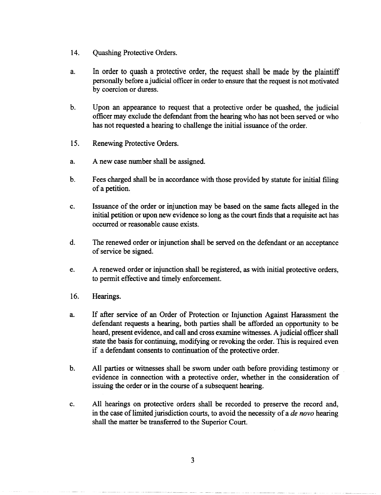- 14. Quashing Protective Orders.
- a. In order to quash a protective order, the request shall be made by the plaintiff personally before ajudicial officer in order to ensure that the request is not motivated by coercion or duress.
- b. Upon an appearance to request that a protective order be quashed, the judicial officer may exclude the defendant from the hearing who has not been served or who has not requested a hearing to challenge the initial issuance of the order.
- 15. Renewing Protective Orders.
- a. A new case number shall be assigned.
- b. Fees charged shall be in accordance with those provided by statute for initial filing of a petition.
- c. Issuance of the order or injunction may be based on the same facts alleged in the initial petition or upon new evidence so long as the court finds that a requisite act has occurred or reasonable cause exists.
- d. The renewed order or injunction shall be served on the defendant or an acceptance of service be signed.
- e. A renewed order or injunction shall be registered, as with initial protective orders, to permit effective and timely enforcement.
- 16. Hearings.
- a. If after service of an Order of Protection or Injunction Against Harassment the defendant requests a hearing, both parties shall be afforded an opportunity to be heard, present evidence, and call and cross examine witnesses. A judicial officer shall state the basis for continuing, modifying or revoking the order. This is required even if a defendant consents to continuation of the protective order.
- b. All parties or witnesses shall be sworn under oath before providing testimony or evidence in connection with a protective order, whether in the consideration of issuing the order or in the course of a subsequent hearing.
- c. All hearings on protective orders shall be recorded to preserve the record and, in the case of limited jurisdiction courts, to avoid the necessity of a *de novo* hearing shall the matter be transferred to the Superior Court.